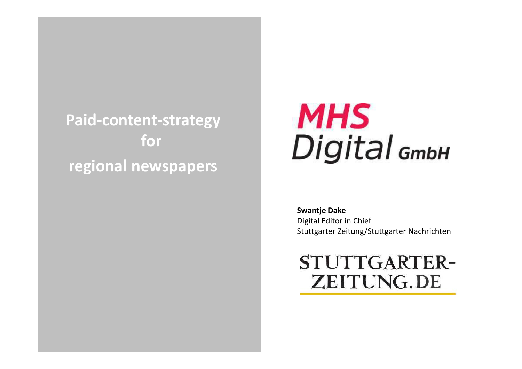**Paid-content-strategyforregional newspapers**

# **MHS** Digital GmbH

**Swantje Dake** Digital Editor in Chief Stuttgarter Zeitung/Stuttgarter Nachrichten

**STUTTGARTER-ZEITUNG.DE**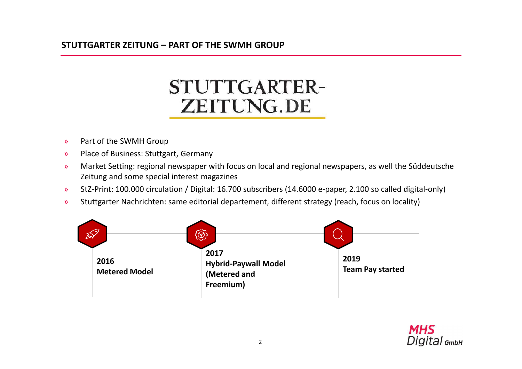## **STUTTGARTER ZEITUNG – PART OF THE SWMH GROUP**

# **STUTTGARTER-ZEITUNG.DE**

- »Part of the SWMH Group
- »Place of Business: Stuttgart, Germany
- » Market Setting: regional newspaper with focus on local and regional newspapers, as well the Süddeutsche Zeitung and some special interest magazines
- »StZ-Print: 100.000 circulation / Digital: 16.700 subscribers (14.6000 e-paper, 2.100 so called digital-only)
- »Stuttgarter Nachrichten: same editorial departement, different strategy (reach, focus on locality)



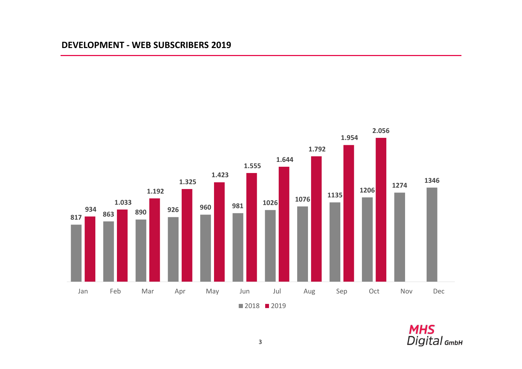

**MHS**<br>Digital <sub>GmbH</sub>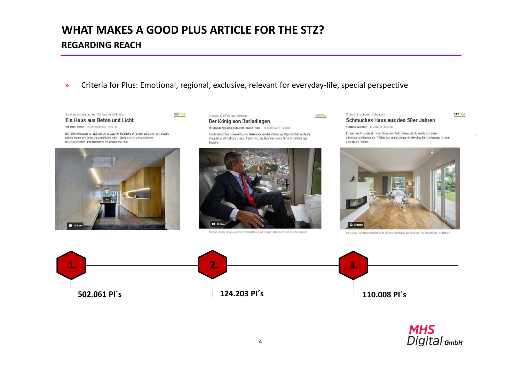# **WHAT MAKES A GOOD PLUS ARTICLE FOR THE STZ?**

### **REGARDING REACH**

»Criteria for Plus: Emotional, regional, exclusive, relevant for everyday-life, special perspective



#### Trigema-Chef Wolfgang Grupp Der König von Burladingen

Von Christine Keck (Text) und Gottfried Stoppel (Fotos) - 23. Oktober 2019 - 15:20 Uhr Sein Maskottchen ist ein Affe, sein Markenzeichen der Maßanzug: Trigema-Chef Wolfgang

Grupp ist so altmodisch, dass es bestechend ist. Nun feiert seine Firma ihr 100-jähriges Bestehen.



Wolfgang Grupp schaut vom Firmerhelikopter aus auf sein parkähnliches Anwesen in Burladingen

#### Wohnen in schönen Gebäuden Schmuckes Haus aus den 50er Jahren

Von Nicole Galombek - 12. Juli 2019 - 15:00 Uhr

**StZPlus** 

Es muss nicht immer ein neues Haus vom Architekten sein: So wurde aus einem altmodischen Bau aus den 1950er Jahren ein zeitgemäß stilvolles Einfamilienhaus für eine vierköpfige Familie.

**StZPlus** 



Die Besitzer des Hauses betonen den Charme des Hauses aus den 50em mit Accessoires und Möbeln



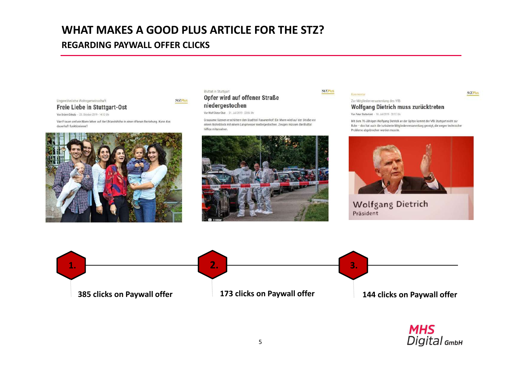# **WHAT MAKES A GOOD PLUS ARTICLE FOR THE STZ?**

### **REGARDING PAYWALL OFFER CLICKS**

#### Ungewöhnliche Wohngemeinschaft

**StZPlus** 

#### Freie Liebe in Stuttgart-Ost

Von Erdem Gökalp - 25. Oktober 2019 - 14:12 Uhr

Vier Frauen und ein Mann leben auf der Uhlandshöhe in einer offenen Beziehung. Kann das dauerhaft funktionieren?



#### **Bluttat in Stuttgart** Opfer wird auf offener Straße niedergestochen

Von Wolf-Dieter Obst - 31, Juli 2019 - 23:06 Uhr

Grausame Szenen erschüttern den Stadtteil Fasanenhof: Ein Mann wird auf der Straße vor einem Wohnblock mit einem Langmesser niedergestochen. Zeugen müssen die Bluttat hilflos mitansehen.



**StZPlus** 



Kommentar

Zur Mitgliederversammlung des VfB

#### Wolfgang Dietrich muss zurücktreten

Von Peter Stolterfoht - 14. Juli 2019 - 20:12 Uhr

Mit dem 70-Jährigen Wolfgang Dietrich an der Spitze kommt der VfB Stuttgart nicht zur Ruhe - das hat auch die turbulente Mitgliederversammlung gezeigt, die wegen technischer Probleme abgebrochen werden musste.

**StZPlus** 



**Wolfgang Dietrich** Präsident



5

**MHS** Digital GmbH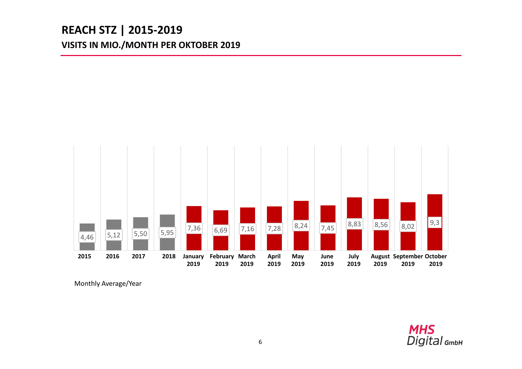# **VISITS IN MIO./MONTH PER OKTOBER 2019 REACH STZ | 2015-2019**



Monthly Average/Year

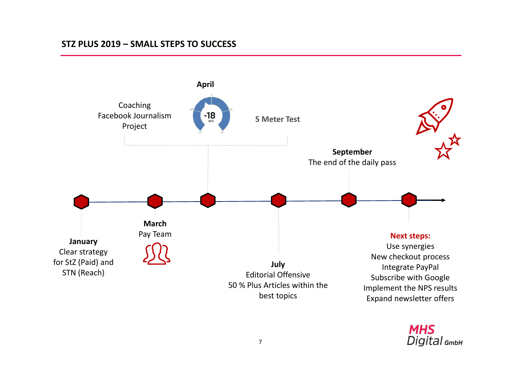## **STZ PLUS 2019 – SMALL STEPS TO SUCCESS**



**MHS Digital GmbH**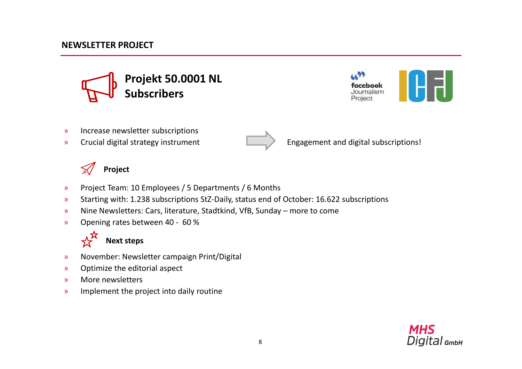

- »Increase newsletter subscriptions<br>Crucial digital strategy instrument
- »



Engagement and digital subscriptions!

facebook Journalism Project



# **Project**

- »Project Team: 10 Employees / 5 Departments / 6 Months
- »Starting with: 1.238 subscriptions StZ-Daily, status end of October: 16.622 subscriptions
- »Nine Newsletters: Cars, literature, Stadtkind, VfB, Sunday – more to come
- »Opening rates between 40 - 60 %



- »November: Newsletter campaign Print/Digital
- »Optimize the editorial aspect
- »More newsletters
- »Implement the project into daily routine

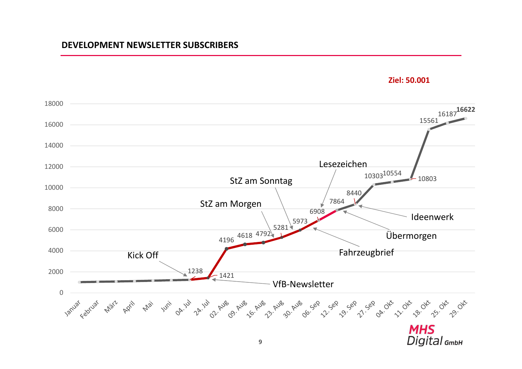**Ziel: 50.001**

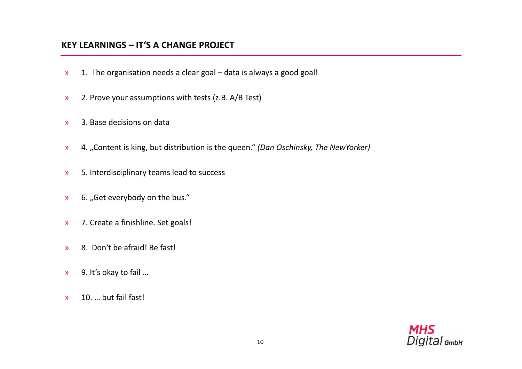- »1. The organisation needs a clear goal – data is always a good goal!
- »2. Prove your assumptions with tests (z.B. A/B Test)
- »3. Base decisions on data
- »4. "Content is king, but distribution is the queen." *(Dan Oschinsky, The NewYorker)*
- »5. Interdisciplinary teams lead to success
- »6. "Get everybody on the bus."
- »7. Create a finishline. Set goals!
- »8. Don't be afraid! Be fast!
- »9. It's okay to fail …
- »10. … but fail fast!